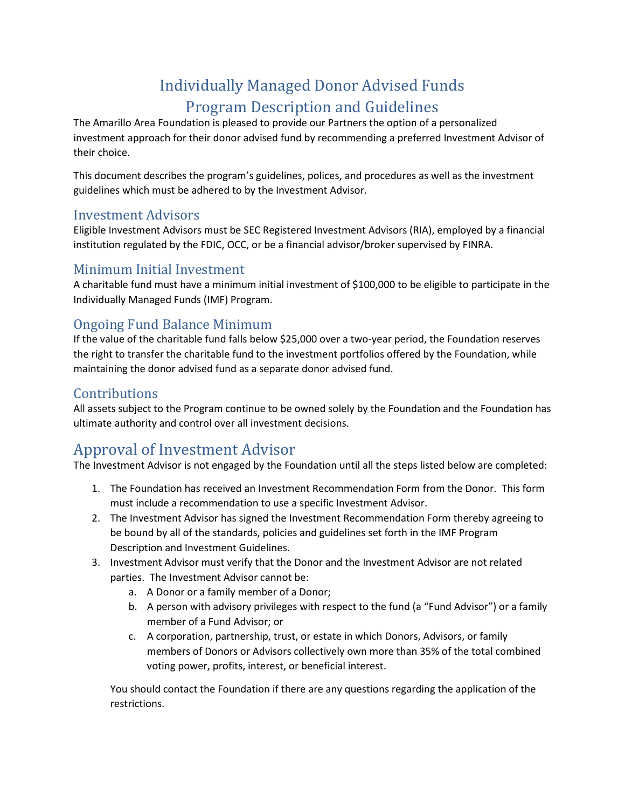# Individually Managed Donor Advised Funds Program Description and Guidelines

The Amarillo Area Foundation is pleased to provide our Partners the option of a personalized investment approach for their donor advised fund by recommending a preferred Investment Advisor of their choice.

This document describes the program's guidelines, polices, and procedures as well as the investment guidelines which must be adhered to by the Investment Advisor.

### Investment Advisors

Eligible Investment Advisors must be SEC Registered Investment Advisors (RIA), employed by a financial institution regulated by the FDIC, OCC, or be a financial advisor/broker supervised by FINRA.

#### Minimum Initial Investment

A charitable fund must have a minimum initial investment of \$100,000 to be eligible to participate in the Individually Managed Funds (IMF) Program.

### Ongoing Fund Balance Minimum

If the value of the charitable fund falls below \$25,000 over a two-year period, the Foundation reserves the right to transfer the charitable fund to the investment portfolios offered by the Foundation, while maintaining the donor advised fund as a separate donor advised fund.

### **Contributions**

All assets subject to the Program continue to be owned solely by the Foundation and the Foundation has ultimate authority and control over all investment decisions.

# Approval of Investment Advisor

The Investment Advisor is not engaged by the Foundation until all the steps listed below are completed:

- 1. The Foundation has received an Investment Recommendation Form from the Donor. This form must include a recommendation to use a specific Investment Advisor.
- 2. The Investment Advisor has signed the Investment Recommendation Form thereby agreeing to be bound by all of the standards, policies and guidelines set forth in the IMF Program Description and Investment Guidelines.
- 3. Investment Advisor must verify that the Donor and the Investment Advisor are not related parties. The Investment Advisor cannot be:
	- a. A Donor or a family member of a Donor;
	- b. A person with advisory privileges with respect to the fund (a "Fund Advisor") or a family member of a Fund Advisor; or
	- c. A corporation, partnership, trust, or estate in which Donors, Advisors, or family members of Donors or Advisors collectively own more than 35% of the total combined voting power, profits, interest, or beneficial interest.

You should contact the Foundation if there are any questions regarding the application of the restrictions.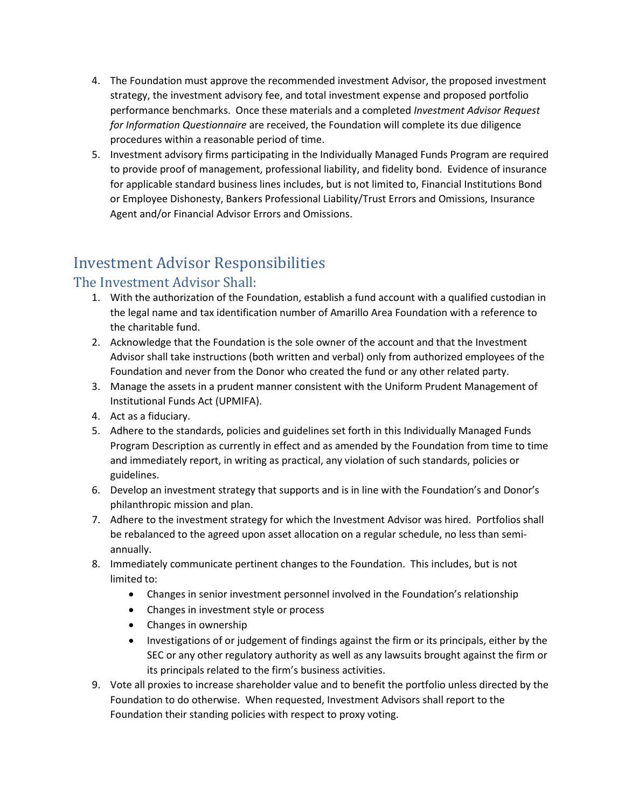- 4. The Foundation must approve the recommended investment Advisor, the proposed investment strategy, the investment advisory fee, and total investment expense and proposed portfolio performance benchmarks. Once these materials and a completed *Investment Advisor Request for Information Questionnaire* are received, the Foundation will complete its due diligence procedures within a reasonable period of time.
- 5. Investment advisory firms participating in the Individually Managed Funds Program are required to provide proof of management, professional liability, and fidelity bond. Evidence of insurance for applicable standard business lines includes, but is not limited to, Financial Institutions Bond or Employee Dishonesty, Bankers Professional Liability/Trust Errors and Omissions, Insurance Agent and/or Financial Advisor Errors and Omissions.

# Investment Advisor Responsibilities

### The Investment Advisor Shall:

- 1. With the authorization of the Foundation, establish a fund account with a qualified custodian in the legal name and tax identification number of Amarillo Area Foundation with a reference to the charitable fund.
- 2. Acknowledge that the Foundation is the sole owner of the account and that the Investment Advisor shall take instructions (both written and verbal) only from authorized employees of the Foundation and never from the Donor who created the fund or any other related party.
- 3. Manage the assets in a prudent manner consistent with the Uniform Prudent Management of Institutional Funds Act (UPMIFA).
- 4. Act as a fiduciary.
- 5. Adhere to the standards, policies and guidelines set forth in this Individually Managed Funds Program Description as currently in effect and as amended by the Foundation from time to time and immediately report, in writing as practical, any violation of such standards, policies or guidelines.
- 6. Develop an investment strategy that supports and is in line with the Foundation's and Donor's philanthropic mission and plan.
- 7. Adhere to the investment strategy for which the Investment Advisor was hired. Portfolios shall be rebalanced to the agreed upon asset allocation on a regular schedule, no less than semiannually.
- 8. Immediately communicate pertinent changes to the Foundation. This includes, but is not limited to:
	- Changes in senior investment personnel involved in the Foundation's relationship
	- Changes in investment style or process
	- Changes in ownership
	- Investigations of or judgement of findings against the firm or its principals, either by the SEC or any other regulatory authority as well as any lawsuits brought against the firm or its principals related to the firm's business activities.
- 9. Vote all proxies to increase shareholder value and to benefit the portfolio unless directed by the Foundation to do otherwise. When requested, Investment Advisors shall report to the Foundation their standing policies with respect to proxy voting.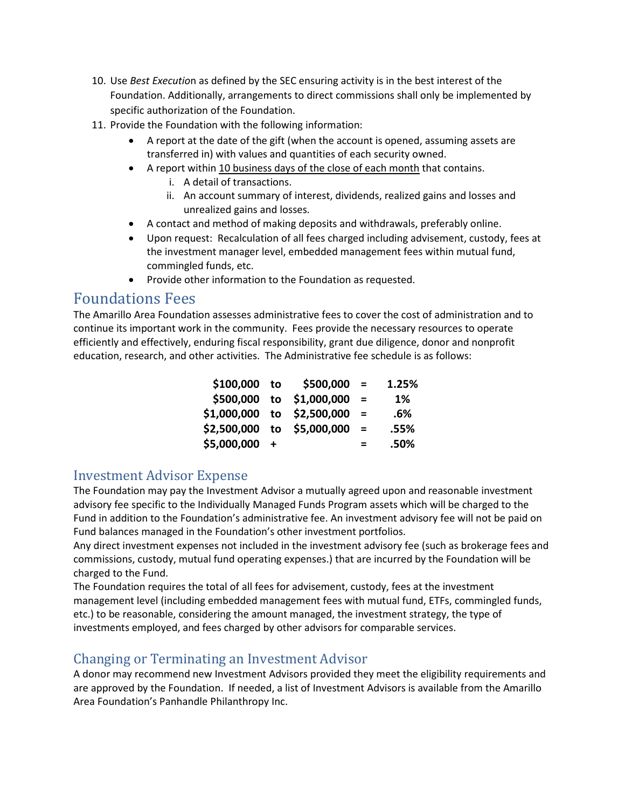- 10. Use *Best Executio*n as defined by the SEC ensuring activity is in the best interest of the Foundation. Additionally, arrangements to direct commissions shall only be implemented by specific authorization of the Foundation.
- 11. Provide the Foundation with the following information:
	- A report at the date of the gift (when the account is opened, assuming assets are transferred in) with values and quantities of each security owned.
	- A report within 10 business days of the close of each month that contains.
		- i. A detail of transactions.
		- ii. An account summary of interest, dividends, realized gains and losses and unrealized gains and losses.
	- A contact and method of making deposits and withdrawals, preferably online.
	- Upon request: Recalculation of all fees charged including advisement, custody, fees at the investment manager level, embedded management fees within mutual fund, commingled funds, etc.
	- Provide other information to the Foundation as requested.

## Foundations Fees

The Amarillo Area Foundation assesses administrative fees to cover the cost of administration and to continue its important work in the community. Fees provide the necessary resources to operate efficiently and effectively, enduring fiscal responsibility, grant due diligence, donor and nonprofit education, research, and other activities. The Administrative fee schedule is as follows:

| \$100,000 to  | \$500,000                  | $=$      | 1.25% |
|---------------|----------------------------|----------|-------|
|               | \$500,000 to \$1,000,000   | $=$      | 1%    |
|               | \$1,000,000 to \$2,500,000 | $\equiv$ | .6%   |
|               | \$2,500,000 to \$5,000,000 | $\equiv$ | .55%  |
| \$5,000,000 + |                            | $=$      | .50%  |

## Investment Advisor Expense

The Foundation may pay the Investment Advisor a mutually agreed upon and reasonable investment advisory fee specific to the Individually Managed Funds Program assets which will be charged to the Fund in addition to the Foundation's administrative fee. An investment advisory fee will not be paid on Fund balances managed in the Foundation's other investment portfolios.

Any direct investment expenses not included in the investment advisory fee (such as brokerage fees and commissions, custody, mutual fund operating expenses.) that are incurred by the Foundation will be charged to the Fund.

The Foundation requires the total of all fees for advisement, custody, fees at the investment management level (including embedded management fees with mutual fund, ETFs, commingled funds, etc.) to be reasonable, considering the amount managed, the investment strategy, the type of investments employed, and fees charged by other advisors for comparable services.

## Changing or Terminating an Investment Advisor

A donor may recommend new Investment Advisors provided they meet the eligibility requirements and are approved by the Foundation. If needed, a list of Investment Advisors is available from the Amarillo Area Foundation's Panhandle Philanthropy Inc.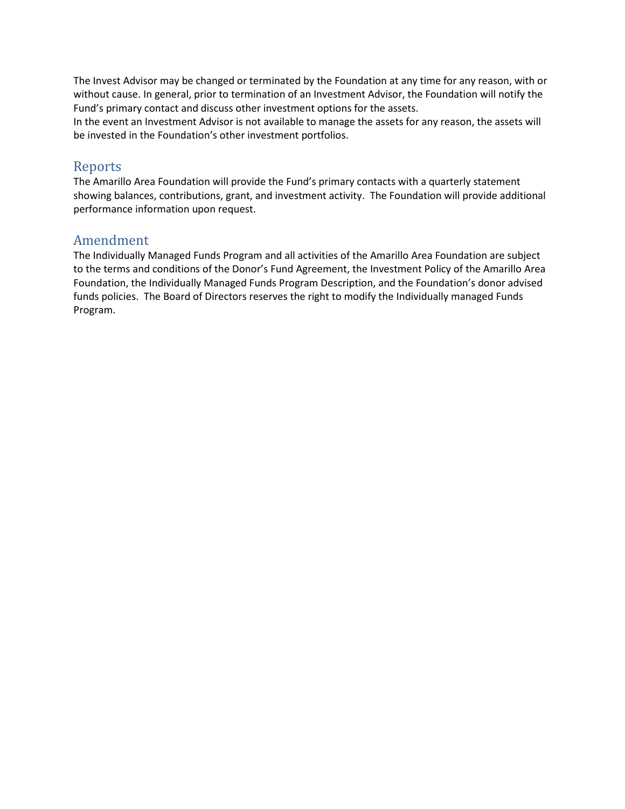The Invest Advisor may be changed or terminated by the Foundation at any time for any reason, with or without cause. In general, prior to termination of an Investment Advisor, the Foundation will notify the Fund's primary contact and discuss other investment options for the assets.

In the event an Investment Advisor is not available to manage the assets for any reason, the assets will be invested in the Foundation's other investment portfolios.

#### Reports

The Amarillo Area Foundation will provide the Fund's primary contacts with a quarterly statement showing balances, contributions, grant, and investment activity. The Foundation will provide additional performance information upon request.

#### Amendment

The Individually Managed Funds Program and all activities of the Amarillo Area Foundation are subject to the terms and conditions of the Donor's Fund Agreement, the Investment Policy of the Amarillo Area Foundation, the Individually Managed Funds Program Description, and the Foundation's donor advised funds policies. The Board of Directors reserves the right to modify the Individually managed Funds Program.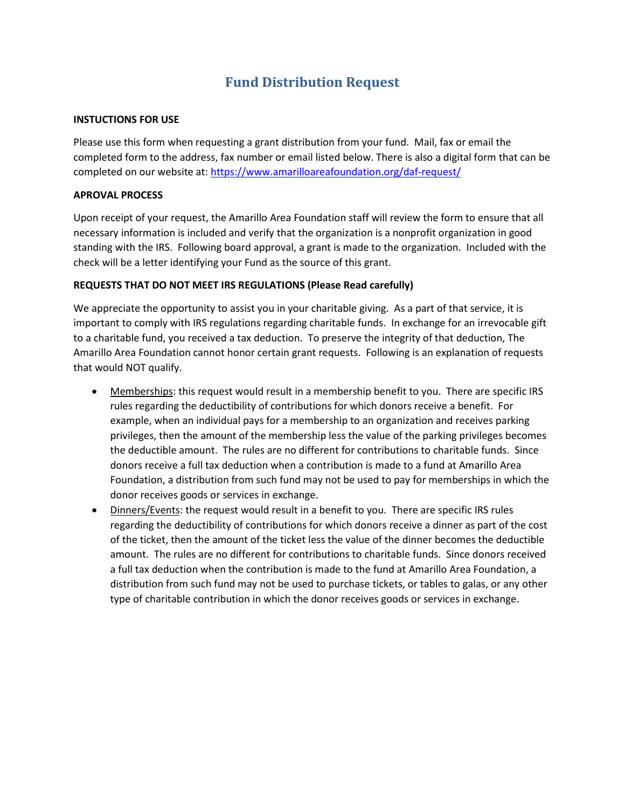## **Fund Distribution Request**

#### **INSTUCTIONS FOR USE**

Please use this form when requesting a grant distribution from your fund. Mail, fax or email the completed form to the address, fax number or email listed below. There is also a digital form that can be completed on our website at:<https://www.amarilloareafoundation.org/daf-request/>

#### **APROVAL PROCESS**

Upon receipt of your request, the Amarillo Area Foundation staff will review the form to ensure that all necessary information is included and verify that the organization is a nonprofit organization in good standing with the IRS. Following board approval, a grant is made to the organization. Included with the check will be a letter identifying your Fund as the source of this grant.

#### **REQUESTS THAT DO NOT MEET IRS REGULATIONS (Please Read carefully)**

We appreciate the opportunity to assist you in your charitable giving. As a part of that service, it is important to comply with IRS regulations regarding charitable funds. In exchange for an irrevocable gift to a charitable fund, you received a tax deduction. To preserve the integrity of that deduction, The Amarillo Area Foundation cannot honor certain grant requests. Following is an explanation of requests that would NOT qualify.

- Memberships: this request would result in a membership benefit to you. There are specific IRS rules regarding the deductibility of contributions for which donors receive a benefit. For example, when an individual pays for a membership to an organization and receives parking privileges, then the amount of the membership less the value of the parking privileges becomes the deductible amount. The rules are no different for contributions to charitable funds. Since donors receive a full tax deduction when a contribution is made to a fund at Amarillo Area Foundation, a distribution from such fund may not be used to pay for memberships in which the donor receives goods or services in exchange.
- Dinners/Events: the request would result in a benefit to you. There are specific IRS rules regarding the deductibility of contributions for which donors receive a dinner as part of the cost of the ticket, then the amount of the ticket less the value of the dinner becomes the deductible amount. The rules are no different for contributions to charitable funds. Since donors received a full tax deduction when the contribution is made to the fund at Amarillo Area Foundation, a distribution from such fund may not be used to purchase tickets, or tables to galas, or any other type of charitable contribution in which the donor receives goods or services in exchange.